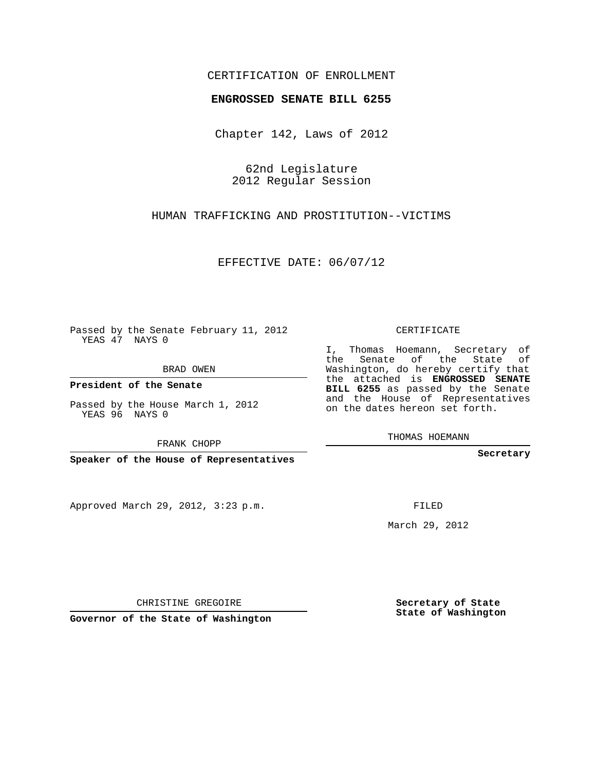## CERTIFICATION OF ENROLLMENT

## **ENGROSSED SENATE BILL 6255**

Chapter 142, Laws of 2012

62nd Legislature 2012 Regular Session

HUMAN TRAFFICKING AND PROSTITUTION--VICTIMS

EFFECTIVE DATE: 06/07/12

Passed by the Senate February 11, 2012 YEAS 47 NAYS 0

BRAD OWEN

**President of the Senate**

Passed by the House March 1, 2012 YEAS 96 NAYS 0

FRANK CHOPP

**Speaker of the House of Representatives**

Approved March 29, 2012, 3:23 p.m.

CERTIFICATE

I, Thomas Hoemann, Secretary of the Senate of the State of Washington, do hereby certify that the attached is **ENGROSSED SENATE BILL 6255** as passed by the Senate and the House of Representatives on the dates hereon set forth.

THOMAS HOEMANN

**Secretary**

FILED

March 29, 2012

**Secretary of State State of Washington**

CHRISTINE GREGOIRE

**Governor of the State of Washington**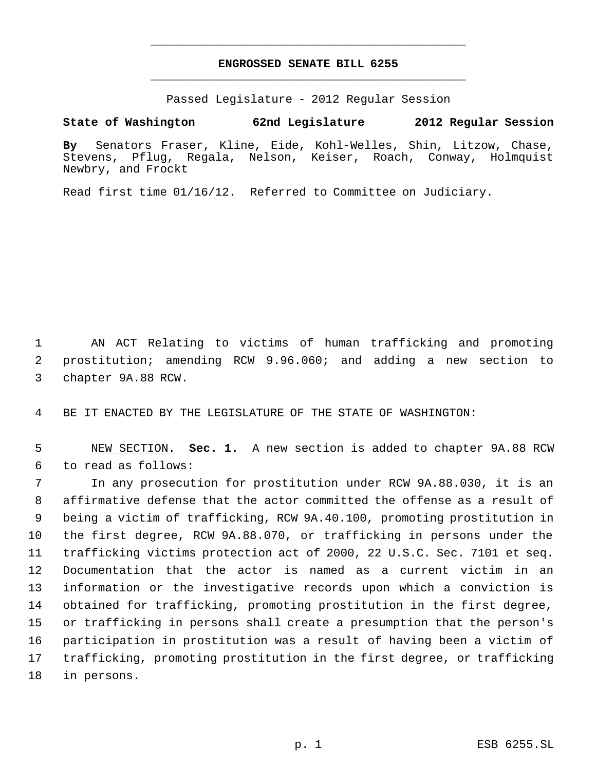## **ENGROSSED SENATE BILL 6255** \_\_\_\_\_\_\_\_\_\_\_\_\_\_\_\_\_\_\_\_\_\_\_\_\_\_\_\_\_\_\_\_\_\_\_\_\_\_\_\_\_\_\_\_\_

\_\_\_\_\_\_\_\_\_\_\_\_\_\_\_\_\_\_\_\_\_\_\_\_\_\_\_\_\_\_\_\_\_\_\_\_\_\_\_\_\_\_\_\_\_

Passed Legislature - 2012 Regular Session

## **State of Washington 62nd Legislature 2012 Regular Session**

**By** Senators Fraser, Kline, Eide, Kohl-Welles, Shin, Litzow, Chase, Stevens, Pflug, Regala, Nelson, Keiser, Roach, Conway, Holmquist Newbry, and Frockt

Read first time 01/16/12. Referred to Committee on Judiciary.

 AN ACT Relating to victims of human trafficking and promoting prostitution; amending RCW 9.96.060; and adding a new section to chapter 9A.88 RCW.

BE IT ENACTED BY THE LEGISLATURE OF THE STATE OF WASHINGTON:

 NEW SECTION. **Sec. 1.** A new section is added to chapter 9A.88 RCW to read as follows:

 In any prosecution for prostitution under RCW 9A.88.030, it is an affirmative defense that the actor committed the offense as a result of being a victim of trafficking, RCW 9A.40.100, promoting prostitution in the first degree, RCW 9A.88.070, or trafficking in persons under the trafficking victims protection act of 2000, 22 U.S.C. Sec. 7101 et seq. Documentation that the actor is named as a current victim in an information or the investigative records upon which a conviction is obtained for trafficking, promoting prostitution in the first degree, or trafficking in persons shall create a presumption that the person's participation in prostitution was a result of having been a victim of trafficking, promoting prostitution in the first degree, or trafficking in persons.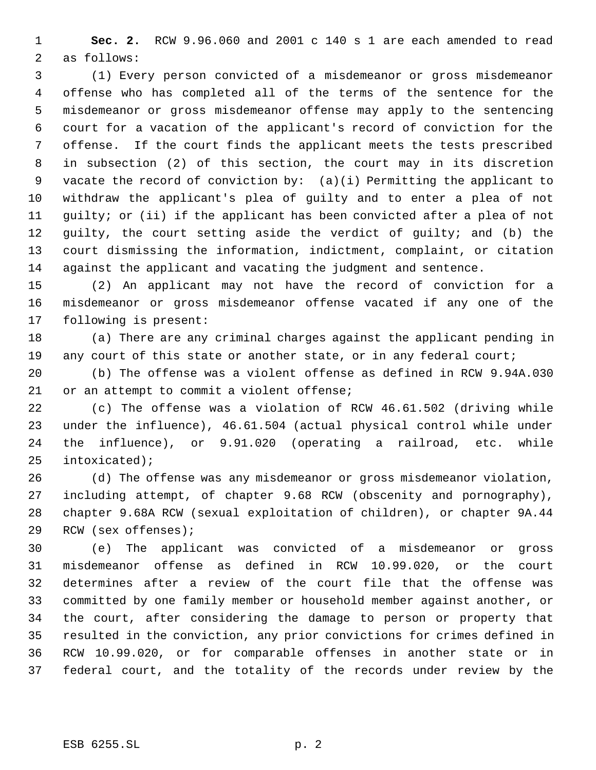**Sec. 2.** RCW 9.96.060 and 2001 c 140 s 1 are each amended to read as follows:

 (1) Every person convicted of a misdemeanor or gross misdemeanor offense who has completed all of the terms of the sentence for the misdemeanor or gross misdemeanor offense may apply to the sentencing court for a vacation of the applicant's record of conviction for the offense. If the court finds the applicant meets the tests prescribed in subsection (2) of this section, the court may in its discretion vacate the record of conviction by: (a)(i) Permitting the applicant to withdraw the applicant's plea of guilty and to enter a plea of not guilty; or (ii) if the applicant has been convicted after a plea of not guilty, the court setting aside the verdict of guilty; and (b) the court dismissing the information, indictment, complaint, or citation against the applicant and vacating the judgment and sentence.

 (2) An applicant may not have the record of conviction for a misdemeanor or gross misdemeanor offense vacated if any one of the following is present:

 (a) There are any criminal charges against the applicant pending in 19 any court of this state or another state, or in any federal court;

 (b) The offense was a violent offense as defined in RCW 9.94A.030 21 or an attempt to commit a violent offense;

 (c) The offense was a violation of RCW 46.61.502 (driving while under the influence), 46.61.504 (actual physical control while under the influence), or 9.91.020 (operating a railroad, etc. while intoxicated);

 (d) The offense was any misdemeanor or gross misdemeanor violation, including attempt, of chapter 9.68 RCW (obscenity and pornography), chapter 9.68A RCW (sexual exploitation of children), or chapter 9A.44 RCW (sex offenses);

 (e) The applicant was convicted of a misdemeanor or gross misdemeanor offense as defined in RCW 10.99.020, or the court determines after a review of the court file that the offense was committed by one family member or household member against another, or the court, after considering the damage to person or property that resulted in the conviction, any prior convictions for crimes defined in RCW 10.99.020, or for comparable offenses in another state or in federal court, and the totality of the records under review by the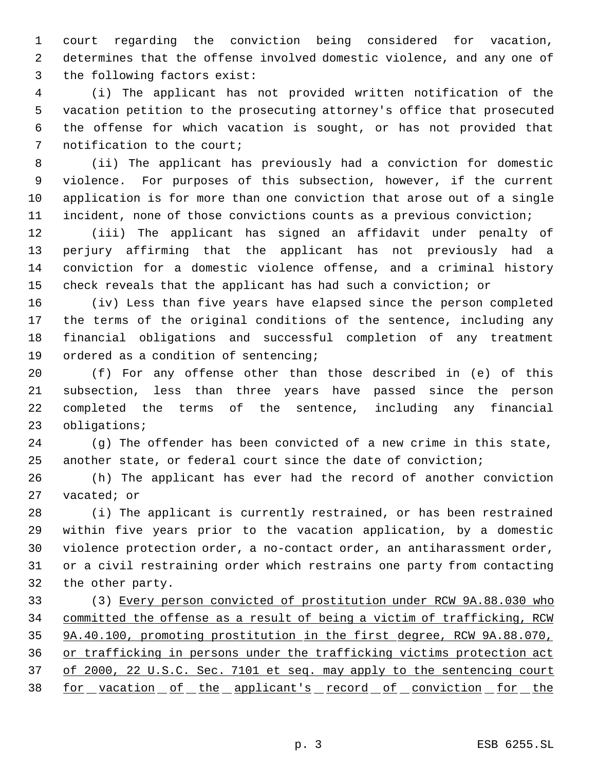court regarding the conviction being considered for vacation, determines that the offense involved domestic violence, and any one of the following factors exist:

 (i) The applicant has not provided written notification of the vacation petition to the prosecuting attorney's office that prosecuted the offense for which vacation is sought, or has not provided that notification to the court;

 (ii) The applicant has previously had a conviction for domestic violence. For purposes of this subsection, however, if the current application is for more than one conviction that arose out of a single incident, none of those convictions counts as a previous conviction;

 (iii) The applicant has signed an affidavit under penalty of perjury affirming that the applicant has not previously had a conviction for a domestic violence offense, and a criminal history check reveals that the applicant has had such a conviction; or

 (iv) Less than five years have elapsed since the person completed the terms of the original conditions of the sentence, including any financial obligations and successful completion of any treatment ordered as a condition of sentencing;

 (f) For any offense other than those described in (e) of this subsection, less than three years have passed since the person completed the terms of the sentence, including any financial obligations;

 (g) The offender has been convicted of a new crime in this state, another state, or federal court since the date of conviction;

 (h) The applicant has ever had the record of another conviction vacated; or

 (i) The applicant is currently restrained, or has been restrained within five years prior to the vacation application, by a domestic violence protection order, a no-contact order, an antiharassment order, or a civil restraining order which restrains one party from contacting the other party.

 (3) Every person convicted of prostitution under RCW 9A.88.030 who committed the offense as a result of being a victim of trafficking, RCW 9A.40.100, promoting prostitution in the first degree, RCW 9A.88.070, or trafficking in persons under the trafficking victims protection act 37 of 2000, 22 U.S.C. Sec. 7101 et seq. may apply to the sentencing court 38 for vacation of the applicant's record of conviction for the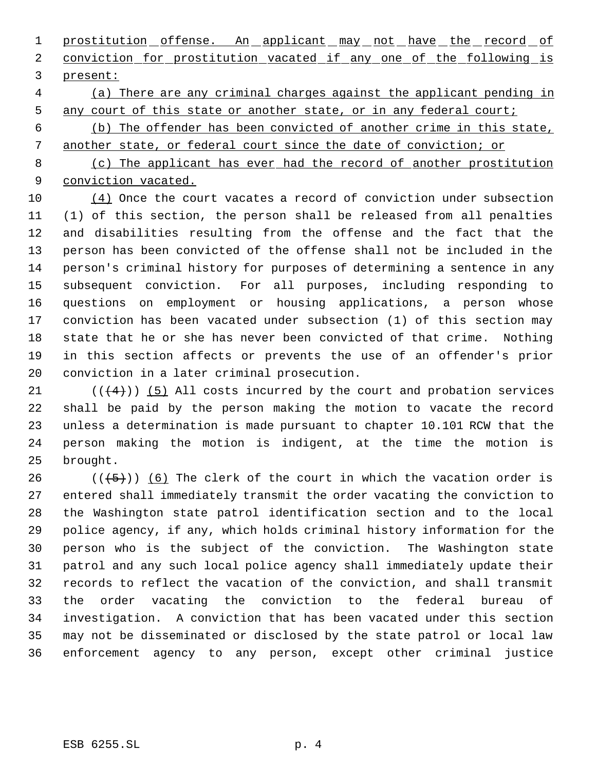1 prostitution offense. An applicant may not have the record of 2 conviction for prostitution vacated if any one of the following is present:

 (a) There are any criminal charges against the applicant pending in 5 any court of this state or another state, or in any federal court;

 (b) The offender has been convicted of another crime in this state, another state, or federal court since the date of conviction; or

 (c) The applicant has ever had the record of another prostitution conviction vacated.

 (4) Once the court vacates a record of conviction under subsection (1) of this section, the person shall be released from all penalties and disabilities resulting from the offense and the fact that the person has been convicted of the offense shall not be included in the person's criminal history for purposes of determining a sentence in any subsequent conviction. For all purposes, including responding to questions on employment or housing applications, a person whose conviction has been vacated under subsection (1) of this section may state that he or she has never been convicted of that crime. Nothing in this section affects or prevents the use of an offender's prior conviction in a later criminal prosecution.

 $((4+))$  (5) All costs incurred by the court and probation services shall be paid by the person making the motion to vacate the record unless a determination is made pursuant to chapter 10.101 RCW that the person making the motion is indigent, at the time the motion is brought.

26 ( $(\overline{5})$ ) (6) The clerk of the court in which the vacation order is entered shall immediately transmit the order vacating the conviction to the Washington state patrol identification section and to the local police agency, if any, which holds criminal history information for the person who is the subject of the conviction. The Washington state patrol and any such local police agency shall immediately update their records to reflect the vacation of the conviction, and shall transmit the order vacating the conviction to the federal bureau of investigation. A conviction that has been vacated under this section may not be disseminated or disclosed by the state patrol or local law enforcement agency to any person, except other criminal justice